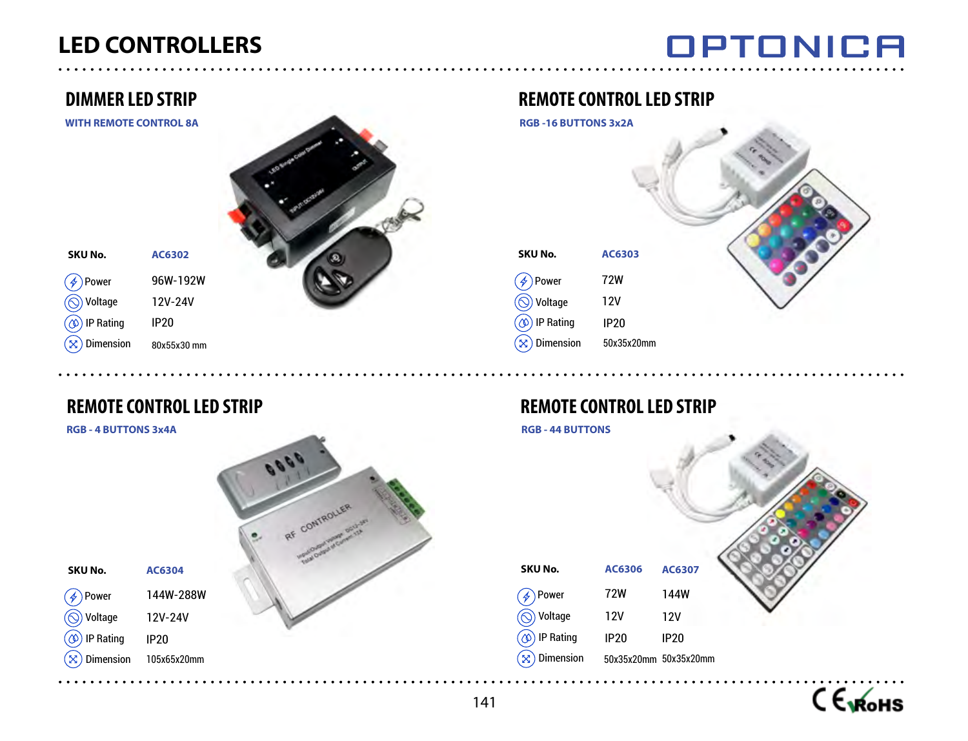# OPTONICA

# **DIMMER LED STRIP**

**WITH REMOTE CONTROL 8A**

**SKU No.**

IP Rating **<u>
</u> Voltage**  $\bigcirc$  Power

12V-24V IP20 80x55x30 mm  $(\otimes)$  Dimension

**REMOTE CONTROL LED STRIP**

**AC6302**

96W-192W

#### **RGB - 4 BUTTONS 3x4A**

**SKU No.**

 $\mathcal{F}$ 

์x`

Dimension  $\circledcirc$  IP Rating  $\circledS$  Voltage Power



# **AC6303** 72W 12V IP20 **SKU No.** IP Rating **<u>
</u> Voltage A** Power **REMOTE CONTROL LED STRIP RGB -16 BUTTONS 3x2A**

**REMOTE CONTROL LED STRIP** 

50x35x20mm

**RGB - 44 BUTTONS**

 $\mathcal{R}$  Dimension



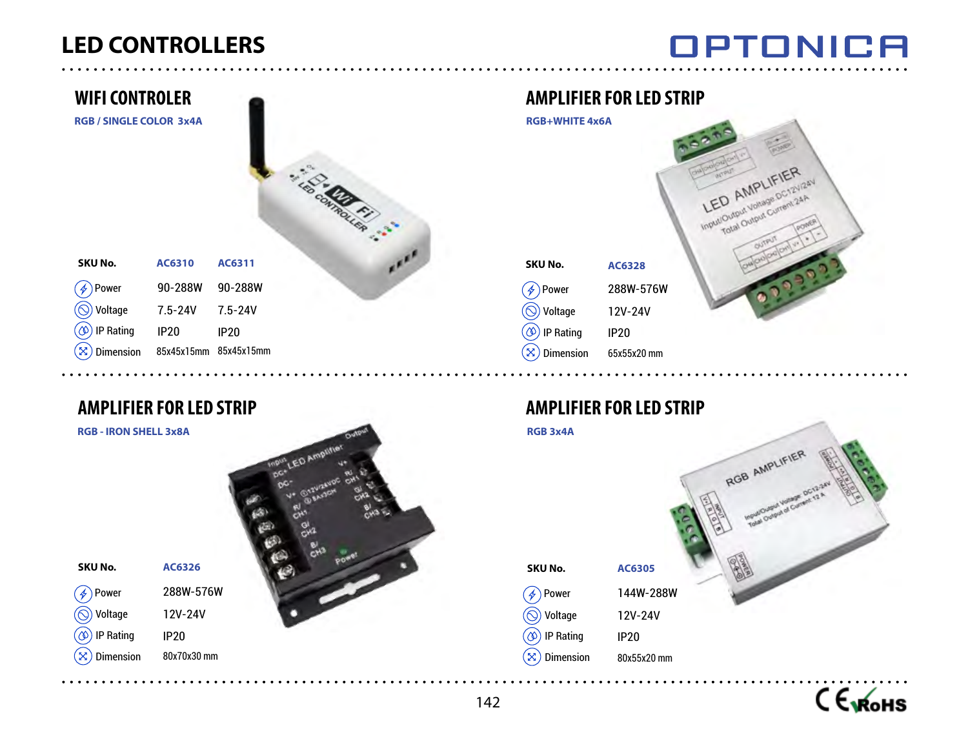# OPTONICA

| <b>WIFI CONTROLER</b>          |             |                       |  |
|--------------------------------|-------------|-----------------------|--|
| <b>RGB / SINGLE COLOR 3x4A</b> |             | <b>DCON</b>           |  |
| AC6310                         | AC6311      |                       |  |
| 90-288W                        | 90-288W     |                       |  |
| $7.5 - 24V$                    | $7.5 - 24V$ |                       |  |
| <b>IP20</b>                    | <b>IP20</b> |                       |  |
|                                |             |                       |  |
|                                |             | 85x45x15mm 85x45x15mm |  |

# **AMPLIFIER FOR LED STRIP**

**RGB - IRON SHELL 3x8A**



#### **SKU No.**

์x)

288W-576W 12V-24V IP20 IP Rating  Voltage  $\mathscr{F}$ ) Power

> 80x70x30 mm Dimension

**AC6326**

# **AMPLIFIER FOR LED STRIP**



# **AMPLIFIER FOR LED STRIP**

# **RGB 3x4A**





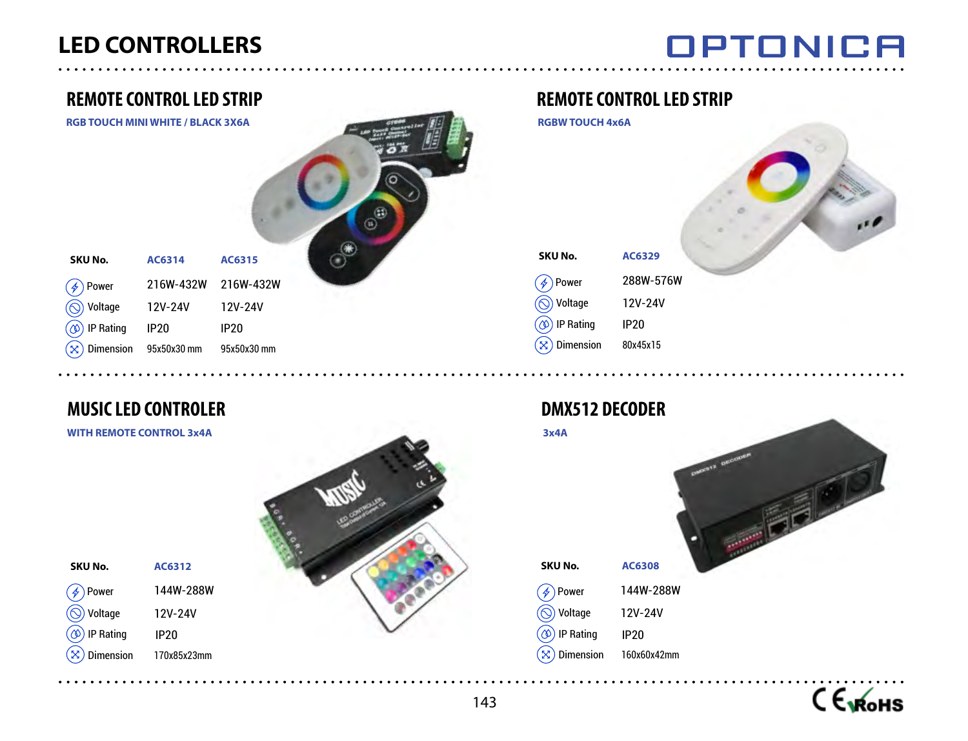# **OPTONICA**



# **MUSIC LED CONTROLER**

**AC6312** 144W-288W 12V-24V IP20 170x85x23mm

#### **WITH REMOTE CONTROL 3x4A**

**SKU No.**

 $\propto$ 

Dimension IP Rating Voltage  $(\not\!\phi)$  Power



## **REMOTE CONTROL LED STRIP**

**RGBW TOUCH 4x6A**

| KU No.                 | <b>AC6329</b> |
|------------------------|---------------|
| Ļ,<br>Power            | 288W-576W     |
| Voltage                | 12V-24V       |
| <b>IP Rating</b><br>Ø  | <b>IP20</b>   |
| <b>Dimension</b><br>Š. | 80x45x15      |
|                        |               |

# **DMX512 DECODER**



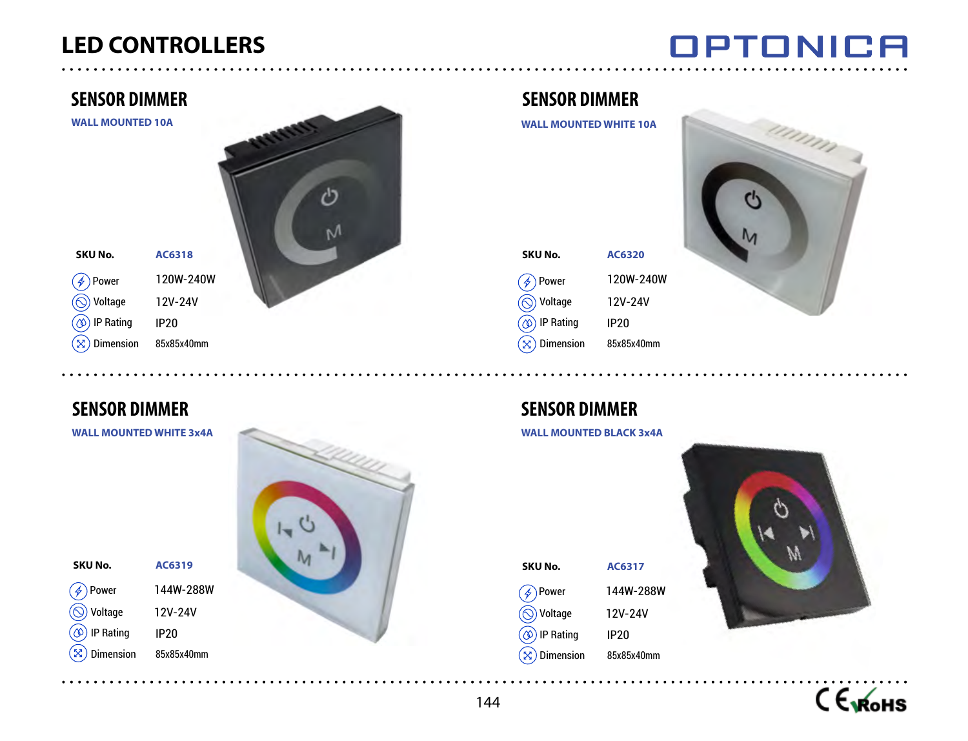**AC6318**

# **OPTONICA**

## **SENSOR DIMMER**

**WALL MOUNTED 10A**

#### **SKU No.**

**SKU No.**

 $\bigcirc$ 

Dimension  $\circledcirc$  IP Rating **◯ Voltage**  $\left(\begin{matrix} \mathcal{A} \end{matrix}\right)$  Power

120W-240W 12V-24V IP20 85x85x40mm  $(\mathbf{\hat{x}})$  Dimension IP Rating Voltage  $\mathscr{F}$ ) Power

# **SENSOR DIMMER**

**WALL MOUNTED WHITE 3x4A**

**AC6319**

12V-24V IP20 85x85x40mm



## **SENSOR DIMMER**

**WALL MOUNTED WHITE 10A**

| <b>SKU No.</b>                           | <b>AC6320</b> |
|------------------------------------------|---------------|
| $\mathscr{A}$ ) Power                    | 120W-240W     |
| $\textcircled{\scriptsize\odot}$ Voltage | 12V-24V       |
| (1) IP Rating                            | <b>IP20</b>   |
| $\mathbf{x}$ ) Dimension                 | 85x85x40mm    |



# **SENSOR DIMMER**

**WALL MOUNTED BLACK 3x4A**

#### **AC6317** 144W-288W 12V-24V IP20 85x85x40mm **SKU No.**  $\mathbf{\widehat{\times}}$  Dimension  $\circledcirc$  IP Rating Voltage  $\mathscr{F}$ ) Power



CEMOHS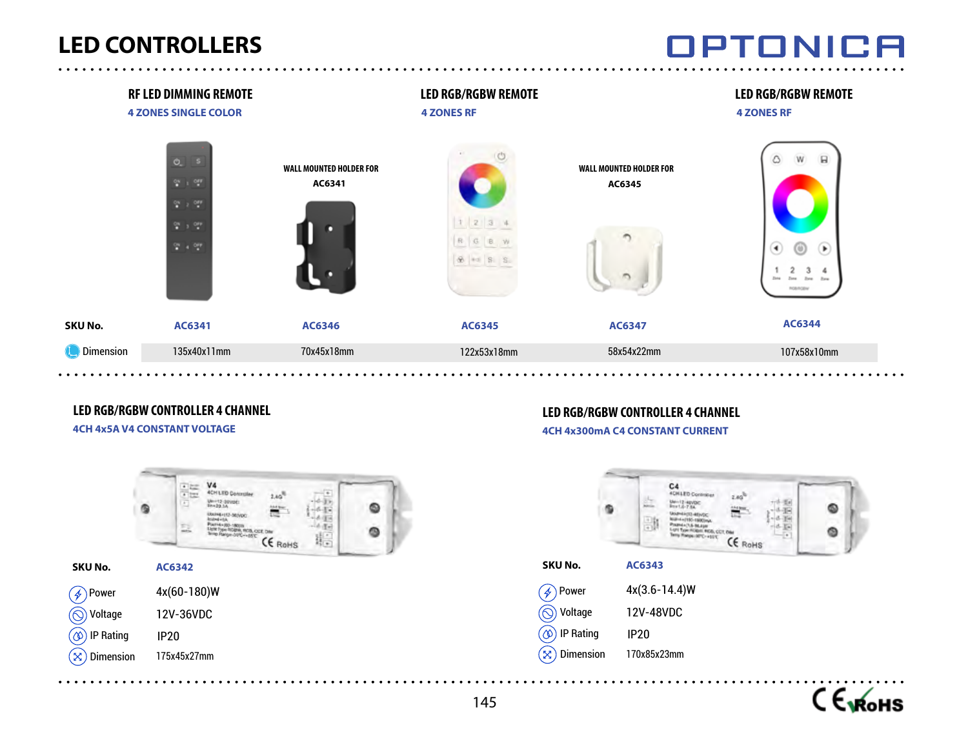# OPTONICA

|                  | <b>RF LED DIMMING REMOTE</b><br><b>4 ZONES SINGLE COLOR</b>                                                           |                                          | <b>LED RGB/RGBW REMOTE</b><br><b>4 ZONES RF</b> |                                          | <b>LED RGB/RGBW REMOTE</b><br><b>4 ZONES RF</b>                                                                  |
|------------------|-----------------------------------------------------------------------------------------------------------------------|------------------------------------------|-------------------------------------------------|------------------------------------------|------------------------------------------------------------------------------------------------------------------|
|                  | $Q_2 = 5$<br>$\sigma_{\rm H}$ , $\sigma_{\rm H}$<br>$\frac{\partial H}{\partial t}$ , $\frac{\partial H}{\partial t}$ | <b>WALL MOUNTED HOLDER FOR</b><br>AC6341 |                                                 | <b>WALL MOUNTED HOLDER FOR</b><br>AC6345 | $\ensuremath{\mathsf{W}}\xspace$<br>$\boxminus$<br>۵                                                             |
|                  | $\frac{6\pi}{2}$ ) $\frac{6\pi\pi}{2}$<br>$\frac{1}{n}$ , $\frac{1}{n}$ can                                           |                                          | 123                                             |                                          | $\left( 4\right)$<br>$(\triangleright)$<br>$^\circledv$<br><b>Zone</b><br><b>Zone</b><br><b>Zone</b><br>ROMINGEN |
| SKU No.          | AC6341                                                                                                                | AC6346                                   | AC6345                                          | AC6347                                   | AC6344                                                                                                           |
| <b>Dimension</b> | 135x40x11mm                                                                                                           | 70x45x18mm                               | 122x53x18mm                                     | 58x54x22mm                               | 107x58x10mm                                                                                                      |

## **LED RGB/RGBW CONTROLLER 4 CHANNEL**

**4CH 4x5A V4 CONSTANT VOLTAGE**



# **LED RGB/RGBW CONTROLLER 4 CHANNEL**

#### **4CH 4x300mA C4 CONSTANT CURRENT**



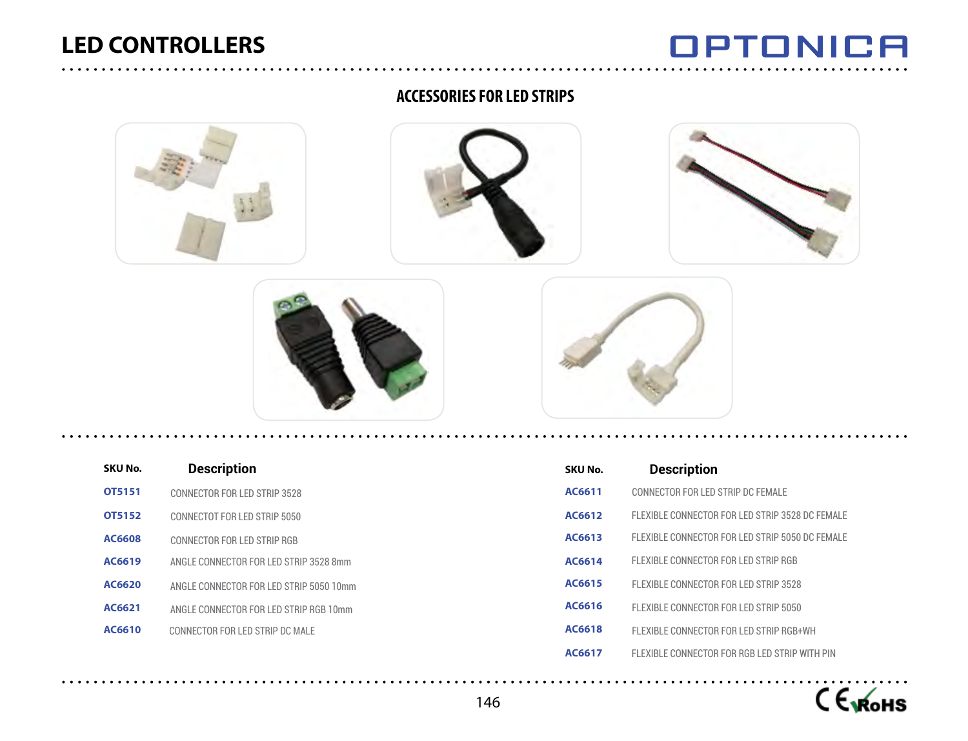# **OPTONICA**

#### **ACCESSORIES FOR LED STRIPS**







| SKU No. | <b>Description</b>                      |
|---------|-----------------------------------------|
| OT5151  | CONNECTOR FOR LED STRIP 3528            |
| OT5152  | CONNECTOT FOR LED STRIP 5050            |
| AC6608  | CONNECTOR FOR LED STRIP RGB             |
| AC6619  | ANGLE CONNECTOR FOR LED STRIP 3528 8mm  |
| AC6620  | ANGLE CONNECTOR FOR LED STRIP 5050 10mm |
| AC6621  | ANGLE CONNECTOR FOR LED STRIP RGB 10mm  |
| AC6610  | CONNECTOR FOR LED STRIP DC MALE         |

| SKU No. | <b>Description</b>                              |
|---------|-------------------------------------------------|
| AC6611  | CONNECTOR FOR LED STRIP DC FEMALE               |
| AC6612  | FLEXIBLE CONNECTOR FOR LED STRIP 3528 DC FEMALE |
| AC6613  | FLEXIBLE CONNECTOR FOR LED STRIP 5050 DC FEMALE |
| AC6614  | FLEXIBLE CONNECTOR FOR LED STRIP RGB            |
| AC6615  | FLEXIBLE CONNECTOR FOR LED STRIP 3528           |
| AC6616  | FLEXIBLE CONNECTOR FOR LED STRIP 5050           |
| AC6618  | FLEXIBLE CONNECTOR FOR LED STRIP RGB+WH         |
| AC6617  | FLEXIBLE CONNECTOR FOR RGB LED STRIP WITH PIN   |

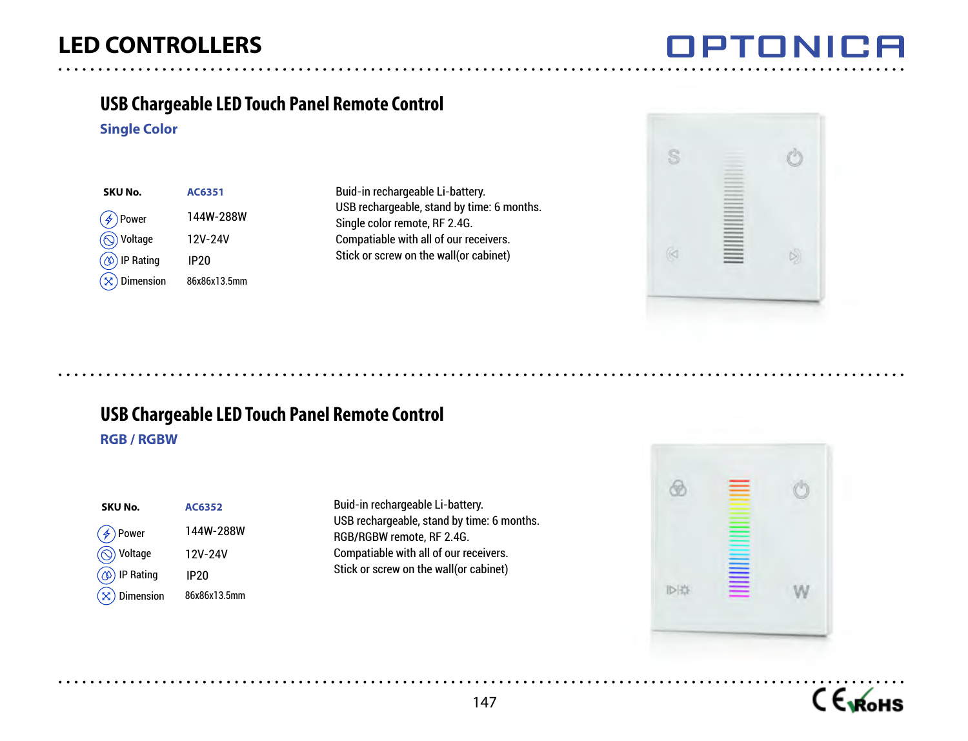'NN

## **USB Chargeable LED Touch Panel Remote Control**

#### **Single Color**

| SKU No.                  | AC6351           |
|--------------------------|------------------|
| $(\phi)$ Power           | 144W-288W        |
| <b>◎</b> Voltage         | 12V-24V          |
| $\circledcirc$ IP Rating | IP <sub>20</sub> |
| $(\times)$ Dimension     | 86x86x13.5mm     |

Buid-in rechargeable Li-battery. USB rechargeable, stand by time: 6 months. Single color remote, RF 2.4G. Compatiable with all of our receivers. Stick or screw on the wall(or cabinet)



# **USB Chargeable LED Touch Panel Remote Control**

#### **RGB / RGBW**

| SKU No.                        | AC6352       |
|--------------------------------|--------------|
| $\bigcirc$ Power               | 144W-288W    |
| $\textcircled{S}$ Voltage      | 12V-24V      |
| $\circledS$ IP Rating          | <b>IP20</b>  |
| $\hat{\mathbf{x}}$ ) Dimension | 86x86x13.5mm |

Buid-in rechargeable Li-battery. USB rechargeable, stand by time: 6 months. RGB/RGBW remote, RF 2.4G. Compatiable with all of our receivers. Stick or screw on the wall(or cabinet)